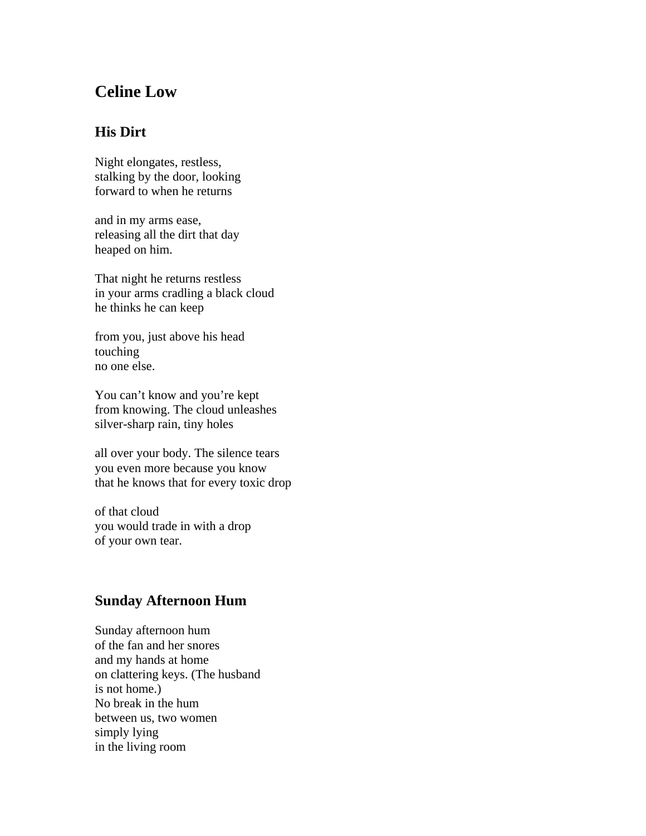## **Celine Low**

## **His Dirt**

Night elongates, restless, stalking by the door, looking forward to when he returns

and in my arms ease, releasing all the dirt that day heaped on him.

That night he returns restless in your arms cradling a black cloud he thinks he can keep

from you, just above his head touching no one else.

You can't know and you're kept from knowing. The cloud unleashes silver-sharp rain, tiny holes

all over your body. The silence tears you even more because you know that he knows that for every toxic drop

of that cloud you would trade in with a drop of your own tear.

## **Sunday Afternoon Hum**

Sunday afternoon hum of the fan and her snores and my hands at home on clattering keys. (The husband is not home.) No break in the hum between us, two women simply lying in the living room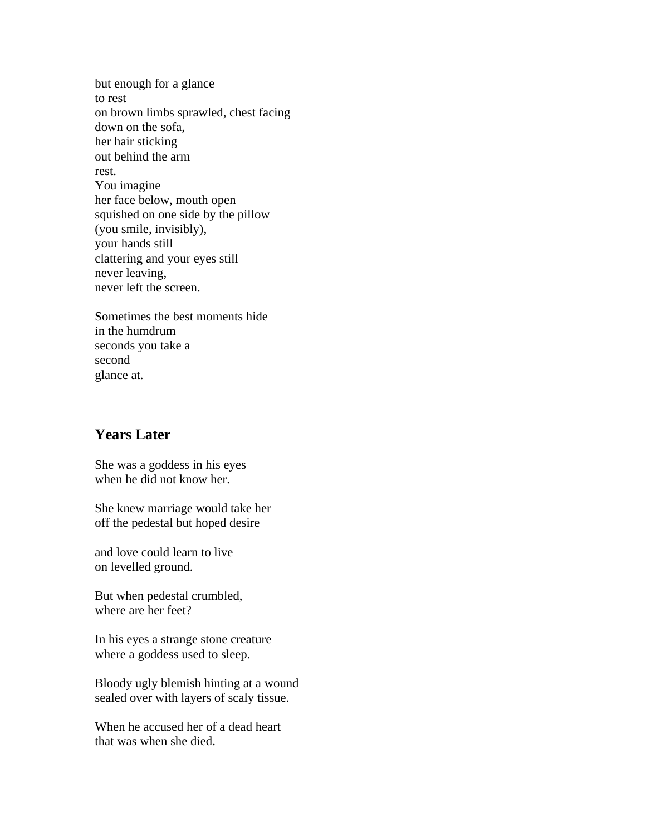but enough for a glance to rest on brown limbs sprawled, chest facing down on the sofa, her hair sticking out behind the arm rest. You imagine her face below, mouth open squished on one side by the pillow (you smile, invisibly), your hands still clattering and your eyes still never leaving, never left the screen.

Sometimes the best moments hide in the humdrum seconds you take a second glance at.

## **Years Later**

She was a goddess in his eyes when he did not know her.

She knew marriage would take her off the pedestal but hoped desire

and love could learn to live on levelled ground.

But when pedestal crumbled, where are her feet?

In his eyes a strange stone creature where a goddess used to sleep.

Bloody ugly blemish hinting at a wound sealed over with layers of scaly tissue.

When he accused her of a dead heart that was when she died.